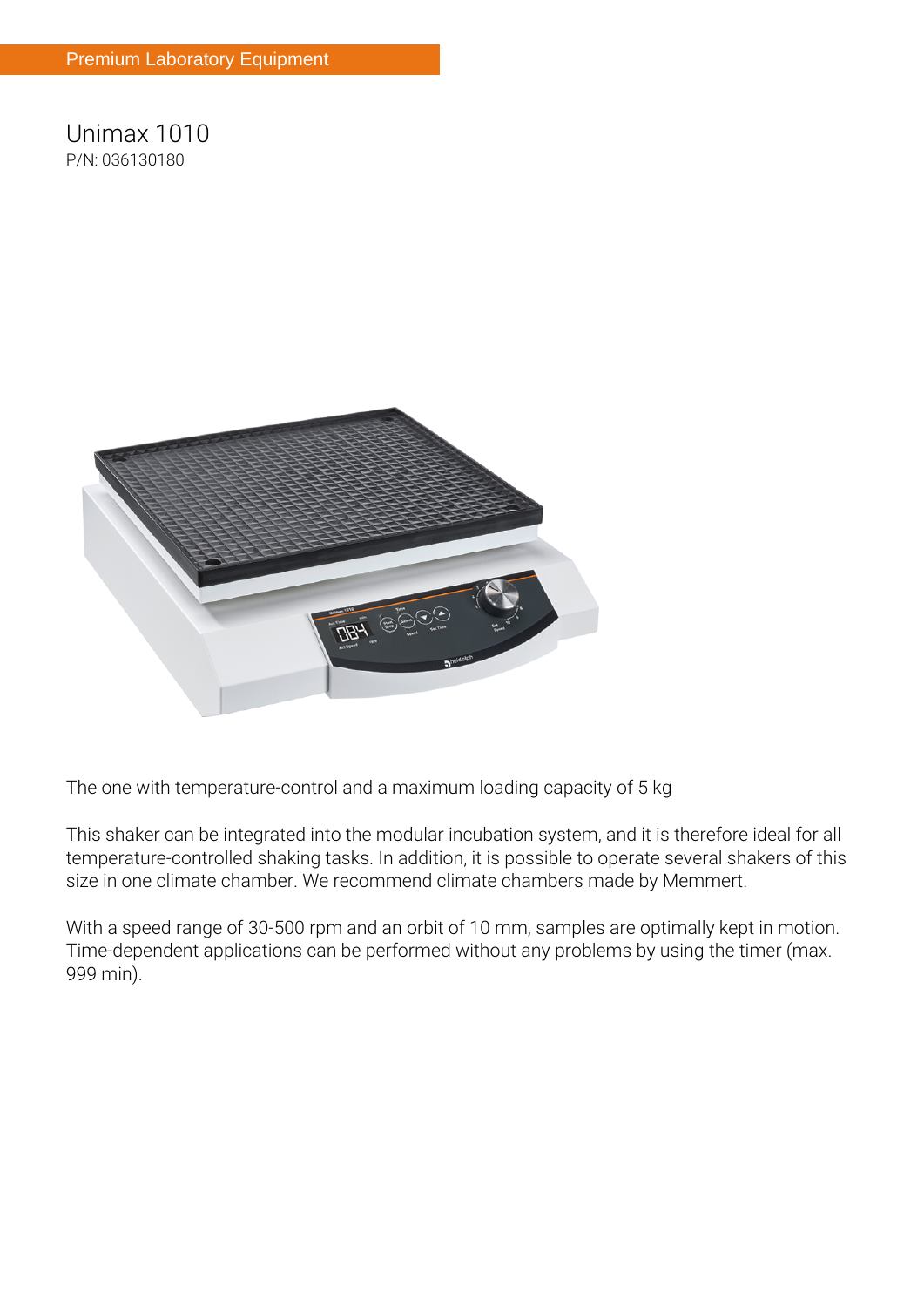**Unimax 1010 P/N: 036130180**



**The one with temperature-control and a maximum loading capacity of 5 kg**

This shaker can be integrated into the modular incubation system, and it is therefore ideal for all temperature-controlled shaking tasks. In addition, it is possible to operate several shakers of this size in one climate chamber. We recommend climate chambers made by Memmert.

With a speed range of 30-500 rpm and an orbit of 10 mm, samples are optimally kept in motion. Time-dependent applications can be performed without any problems by using the timer (max. 999 min).